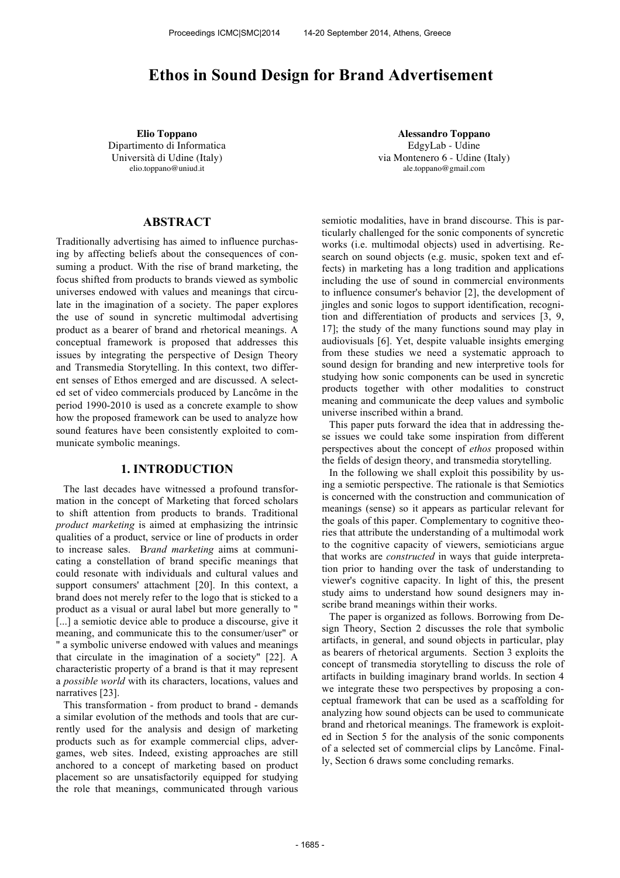# **Ethos in Sound Design for Brand Advertisement**

Dipartimento di Informatica Università di Udine (Italy) elio.toppano@uniud.it

**Elio Toppano Alessandro Toppano** EdgyLab - Udine via Montenero 6 - Udine (Italy) ale.toppano@gmail.com

# **ABSTRACT**

Traditionally advertising has aimed to influence purchasing by affecting beliefs about the consequences of consuming a product. With the rise of brand marketing, the focus shifted from products to brands viewed as symbolic universes endowed with values and meanings that circulate in the imagination of a society. The paper explores the use of sound in syncretic multimodal advertising product as a bearer of brand and rhetorical meanings. A conceptual framework is proposed that addresses this issues by integrating the perspective of Design Theory and Transmedia Storytelling. In this context, two different senses of Ethos emerged and are discussed. A selected set of video commercials produced by Lancôme in the period 1990-2010 is used as a concrete example to show how the proposed framework can be used to analyze how sound features have been consistently exploited to communicate symbolic meanings.

### **1. INTRODUCTION**

The last decades have witnessed a profound transformation in the concept of Marketing that forced scholars to shift attention from products to brands. Traditional *product marketing* is aimed at emphasizing the intrinsic qualities of a product, service or line of products in order to increase sales. B*rand marketing* aims at communicating a constellation of brand specific meanings that could resonate with individuals and cultural values and support consumers' attachment [20]. In this context, a brand does not merely refer to the logo that is sticked to a product as a visual or aural label but more generally to " [...] a semiotic device able to produce a discourse, give it meaning, and communicate this to the consumer/user" or " a symbolic universe endowed with values and meanings that circulate in the imagination of a society" [22]. A characteristic property of a brand is that it may represent a *possible world* with its characters, locations, values and narratives [23].

This transformation - from product to brand - demands a similar evolution of the methods and tools that are currently used for the analysis and design of marketing products such as for example commercial clips, advergames, web sites. Indeed, existing approaches are still anchored to a concept of marketing based on product placement so are unsatisfactorily equipped for studying the role that meanings, communicated through various semiotic modalities, have in brand discourse. This is particularly challenged for the sonic components of syncretic works (i.e. multimodal objects) used in advertising. Research on sound objects (e.g. music, spoken text and effects) in marketing has a long tradition and applications including the use of sound in commercial environments to influence consumer's behavior [2], the development of jingles and sonic logos to support identification, recognition and differentiation of products and services [3, 9, 17]; the study of the many functions sound may play in audiovisuals [6]. Yet, despite valuable insights emerging from these studies we need a systematic approach to sound design for branding and new interpretive tools for studying how sonic components can be used in syncretic products together with other modalities to construct meaning and communicate the deep values and symbolic universe inscribed within a brand.

This paper puts forward the idea that in addressing these issues we could take some inspiration from different perspectives about the concept of *ethos* proposed within the fields of design theory, and transmedia storytelling.

In the following we shall exploit this possibility by using a semiotic perspective. The rationale is that Semiotics is concerned with the construction and communication of meanings (sense) so it appears as particular relevant for the goals of this paper. Complementary to cognitive theories that attribute the understanding of a multimodal work to the cognitive capacity of viewers, semioticians argue that works are *constructed* in ways that guide interpretation prior to handing over the task of understanding to viewer's cognitive capacity. In light of this, the present study aims to understand how sound designers may inscribe brand meanings within their works.

The paper is organized as follows. Borrowing from Design Theory, Section 2 discusses the role that symbolic artifacts, in general, and sound objects in particular, play as bearers of rhetorical arguments. Section 3 exploits the concept of transmedia storytelling to discuss the role of artifacts in building imaginary brand worlds. In section 4 we integrate these two perspectives by proposing a conceptual framework that can be used as a scaffolding for analyzing how sound objects can be used to communicate brand and rhetorical meanings. The framework is exploited in Section 5 for the analysis of the sonic components of a selected set of commercial clips by Lancôme. Finally, Section 6 draws some concluding remarks.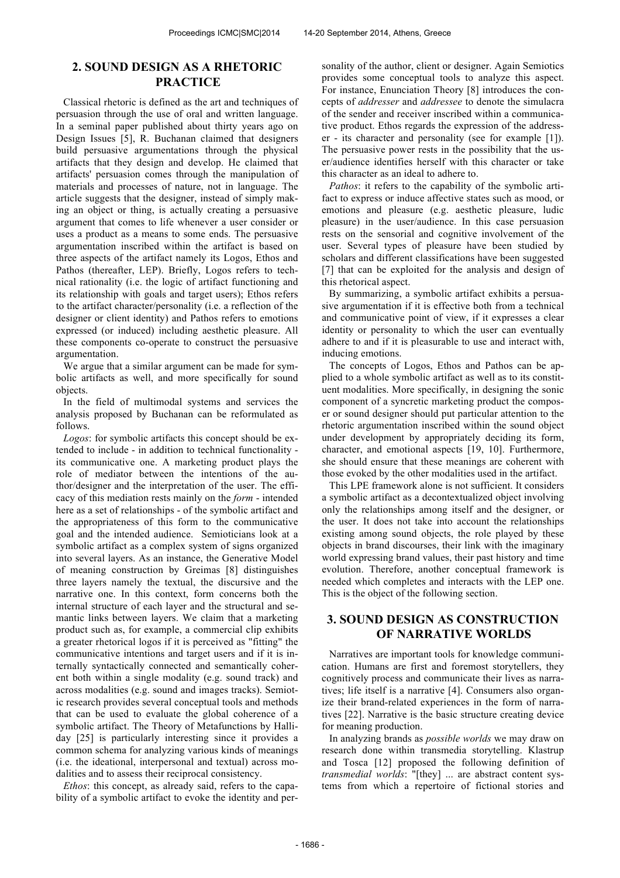# **2. SOUND DESIGN AS A RHETORIC PRACTICE**

Classical rhetoric is defined as the art and techniques of persuasion through the use of oral and written language. In a seminal paper published about thirty years ago on Design Issues [5], R. Buchanan claimed that designers build persuasive argumentations through the physical artifacts that they design and develop. He claimed that artifacts' persuasion comes through the manipulation of materials and processes of nature, not in language. The article suggests that the designer, instead of simply making an object or thing, is actually creating a persuasive argument that comes to life whenever a user consider or uses a product as a means to some ends. The persuasive argumentation inscribed within the artifact is based on three aspects of the artifact namely its Logos, Ethos and Pathos (thereafter, LEP). Briefly, Logos refers to technical rationality (i.e. the logic of artifact functioning and its relationship with goals and target users); Ethos refers to the artifact character/personality (i.e. a reflection of the designer or client identity) and Pathos refers to emotions expressed (or induced) including aesthetic pleasure. All these components co-operate to construct the persuasive argumentation.

We argue that a similar argument can be made for symbolic artifacts as well, and more specifically for sound objects.

In the field of multimodal systems and services the analysis proposed by Buchanan can be reformulated as follows.

*Logos*: for symbolic artifacts this concept should be extended to include - in addition to technical functionality its communicative one. A marketing product plays the role of mediator between the intentions of the author/designer and the interpretation of the user. The efficacy of this mediation rests mainly on the *form* - intended here as a set of relationships - of the symbolic artifact and the appropriateness of this form to the communicative goal and the intended audience. Semioticians look at a symbolic artifact as a complex system of signs organized into several layers. As an instance, the Generative Model of meaning construction by Greimas [8] distinguishes three layers namely the textual, the discursive and the narrative one. In this context, form concerns both the internal structure of each layer and the structural and semantic links between layers. We claim that a marketing product such as, for example, a commercial clip exhibits a greater rhetorical logos if it is perceived as "fitting" the communicative intentions and target users and if it is internally syntactically connected and semantically coherent both within a single modality (e.g. sound track) and across modalities (e.g. sound and images tracks). Semiotic research provides several conceptual tools and methods that can be used to evaluate the global coherence of a symbolic artifact. The Theory of Metafunctions by Halliday [25] is particularly interesting since it provides a common schema for analyzing various kinds of meanings (i.e. the ideational, interpersonal and textual) across modalities and to assess their reciprocal consistency.

*Ethos*: this concept, as already said, refers to the capability of a symbolic artifact to evoke the identity and personality of the author, client or designer. Again Semiotics provides some conceptual tools to analyze this aspect. For instance, Enunciation Theory [8] introduces the concepts of *addresser* and *addressee* to denote the simulacra of the sender and receiver inscribed within a communicative product. Ethos regards the expression of the addresser - its character and personality (see for example [1]). The persuasive power rests in the possibility that the user/audience identifies herself with this character or take this character as an ideal to adhere to.

*Pathos*: it refers to the capability of the symbolic artifact to express or induce affective states such as mood, or emotions and pleasure (e.g. aesthetic pleasure, ludic pleasure) in the user/audience. In this case persuasion rests on the sensorial and cognitive involvement of the user. Several types of pleasure have been studied by scholars and different classifications have been suggested [7] that can be exploited for the analysis and design of this rhetorical aspect.

By summarizing, a symbolic artifact exhibits a persuasive argumentation if it is effective both from a technical and communicative point of view, if it expresses a clear identity or personality to which the user can eventually adhere to and if it is pleasurable to use and interact with, inducing emotions.

The concepts of Logos, Ethos and Pathos can be applied to a whole symbolic artifact as well as to its constituent modalities. More specifically, in designing the sonic component of a syncretic marketing product the composer or sound designer should put particular attention to the rhetoric argumentation inscribed within the sound object under development by appropriately deciding its form, character, and emotional aspects [19, 10]. Furthermore, she should ensure that these meanings are coherent with those evoked by the other modalities used in the artifact.

This LPE framework alone is not sufficient. It considers a symbolic artifact as a decontextualized object involving only the relationships among itself and the designer, or the user. It does not take into account the relationships existing among sound objects, the role played by these objects in brand discourses, their link with the imaginary world expressing brand values, their past history and time evolution. Therefore, another conceptual framework is needed which completes and interacts with the LEP one. This is the object of the following section.

# **3. SOUND DESIGN AS CONSTRUCTION OF NARRATIVE WORLDS**

Narratives are important tools for knowledge communication. Humans are first and foremost storytellers, they cognitively process and communicate their lives as narratives; life itself is a narrative [4]. Consumers also organize their brand-related experiences in the form of narratives [22]. Narrative is the basic structure creating device for meaning production.

In analyzing brands as *possible worlds* we may draw on research done within transmedia storytelling. Klastrup and Tosca [12] proposed the following definition of *transmedial worlds*: "[they] ... are abstract content systems from which a repertoire of fictional stories and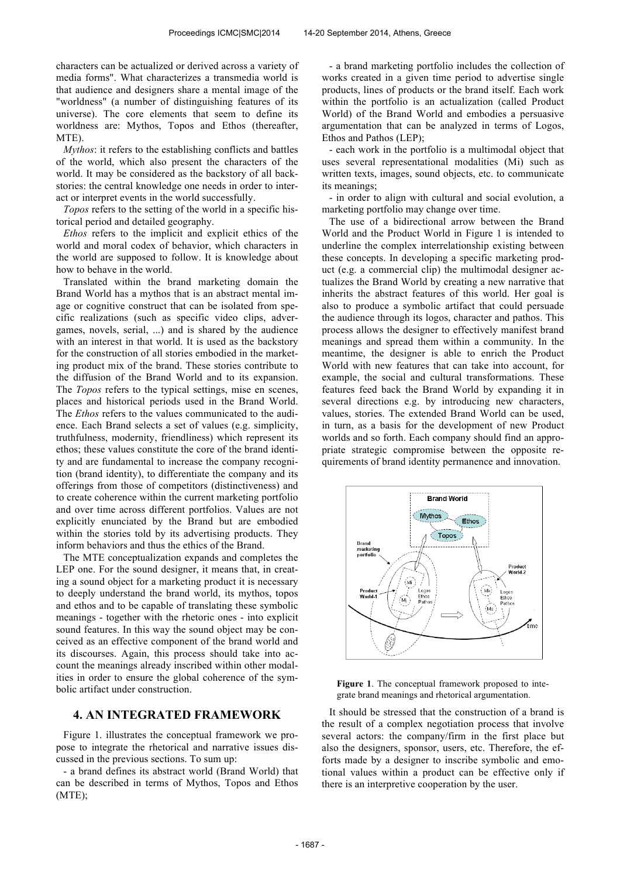characters can be actualized or derived across a variety of media forms". What characterizes a transmedia world is that audience and designers share a mental image of the "worldness" (a number of distinguishing features of its universe). The core elements that seem to define its worldness are: Mythos, Topos and Ethos (thereafter, MTE).

*Mythos*: it refers to the establishing conflicts and battles of the world, which also present the characters of the world. It may be considered as the backstory of all backstories: the central knowledge one needs in order to interact or interpret events in the world successfully.

*Topos* refers to the setting of the world in a specific historical period and detailed geography.

*Ethos* refers to the implicit and explicit ethics of the world and moral codex of behavior, which characters in the world are supposed to follow. It is knowledge about how to behave in the world.

Translated within the brand marketing domain the Brand World has a mythos that is an abstract mental image or cognitive construct that can be isolated from specific realizations (such as specific video clips, advergames, novels, serial, ...) and is shared by the audience with an interest in that world. It is used as the backstory for the construction of all stories embodied in the marketing product mix of the brand. These stories contribute to the diffusion of the Brand World and to its expansion. The *Topos* refers to the typical settings, mise en scenes, places and historical periods used in the Brand World. The *Ethos* refers to the values communicated to the audience. Each Brand selects a set of values (e.g. simplicity, truthfulness, modernity, friendliness) which represent its ethos; these values constitute the core of the brand identity and are fundamental to increase the company recognition (brand identity), to differentiate the company and its offerings from those of competitors (distinctiveness) and to create coherence within the current marketing portfolio and over time across different portfolios. Values are not explicitly enunciated by the Brand but are embodied within the stories told by its advertising products. They inform behaviors and thus the ethics of the Brand.

The MTE conceptualization expands and completes the LEP one. For the sound designer, it means that, in creating a sound object for a marketing product it is necessary to deeply understand the brand world, its mythos, topos and ethos and to be capable of translating these symbolic meanings - together with the rhetoric ones - into explicit sound features. In this way the sound object may be conceived as an effective component of the brand world and its discourses. Again, this process should take into account the meanings already inscribed within other modalities in order to ensure the global coherence of the symbolic artifact under construction.

### **4. AN INTEGRATED FRAMEWORK**

Figure 1. illustrates the conceptual framework we propose to integrate the rhetorical and narrative issues discussed in the previous sections. To sum up:

- a brand defines its abstract world (Brand World) that can be described in terms of Mythos, Topos and Ethos (MTE);

- a brand marketing portfolio includes the collection of works created in a given time period to advertise single products, lines of products or the brand itself. Each work within the portfolio is an actualization (called Product World) of the Brand World and embodies a persuasive argumentation that can be analyzed in terms of Logos, Ethos and Pathos (LEP);

- each work in the portfolio is a multimodal object that uses several representational modalities (Mi) such as written texts, images, sound objects, etc. to communicate its meanings;

- in order to align with cultural and social evolution, a marketing portfolio may change over time.

The use of a bidirectional arrow between the Brand World and the Product World in Figure 1 is intended to underline the complex interrelationship existing between these concepts. In developing a specific marketing product (e.g. a commercial clip) the multimodal designer actualizes the Brand World by creating a new narrative that inherits the abstract features of this world. Her goal is also to produce a symbolic artifact that could persuade the audience through its logos, character and pathos. This process allows the designer to effectively manifest brand meanings and spread them within a community. In the meantime, the designer is able to enrich the Product World with new features that can take into account, for example, the social and cultural transformations. These features feed back the Brand World by expanding it in several directions e.g. by introducing new characters, values, stories. The extended Brand World can be used, in turn, as a basis for the development of new Product worlds and so forth. Each company should find an appropriate strategic compromise between the opposite requirements of brand identity permanence and innovation.



**Figure 1**. The conceptual framework proposed to integrate brand meanings and rhetorical argumentation.

It should be stressed that the construction of a brand is the result of a complex negotiation process that involve several actors: the company/firm in the first place but also the designers, sponsor, users, etc. Therefore, the efforts made by a designer to inscribe symbolic and emotional values within a product can be effective only if there is an interpretive cooperation by the user.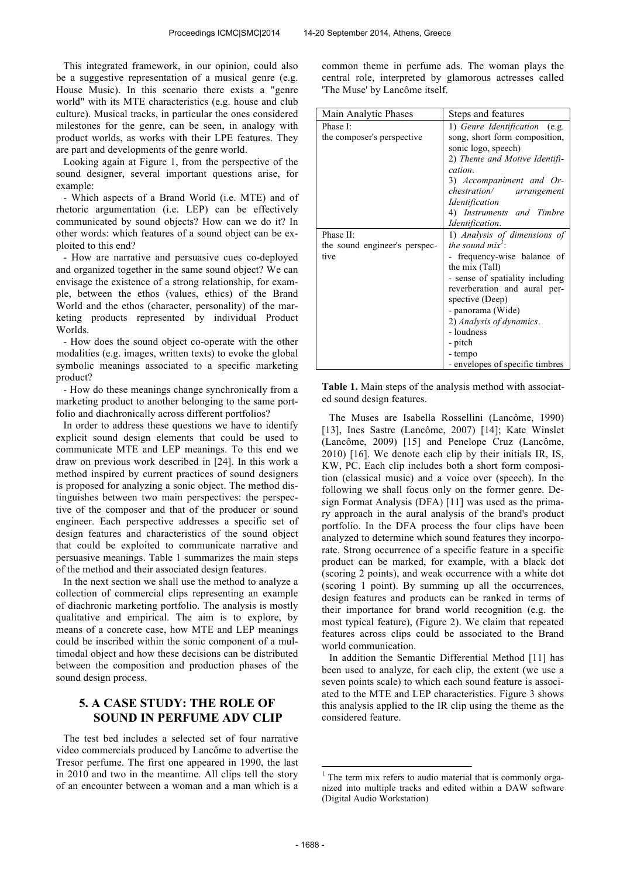This integrated framework, in our opinion, could also be a suggestive representation of a musical genre (e.g. House Music). In this scenario there exists a "genre world" with its MTE characteristics (e.g. house and club culture). Musical tracks, in particular the ones considered milestones for the genre, can be seen, in analogy with product worlds, as works with their LPE features. They are part and developments of the genre world.

Looking again at Figure 1, from the perspective of the sound designer, several important questions arise, for example:

- Which aspects of a Brand World (i.e. MTE) and of rhetoric argumentation (i.e. LEP) can be effectively communicated by sound objects? How can we do it? In other words: which features of a sound object can be exploited to this end?

- How are narrative and persuasive cues co-deployed and organized together in the same sound object? We can envisage the existence of a strong relationship, for example, between the ethos (values, ethics) of the Brand World and the ethos (character, personality) of the marketing products represented by individual Product Worlds.

- How does the sound object co-operate with the other modalities (e.g. images, written texts) to evoke the global symbolic meanings associated to a specific marketing product?

- How do these meanings change synchronically from a marketing product to another belonging to the same portfolio and diachronically across different portfolios?

In order to address these questions we have to identify explicit sound design elements that could be used to communicate MTE and LEP meanings. To this end we draw on previous work described in [24]. In this work a method inspired by current practices of sound designers is proposed for analyzing a sonic object. The method distinguishes between two main perspectives: the perspective of the composer and that of the producer or sound engineer. Each perspective addresses a specific set of design features and characteristics of the sound object that could be exploited to communicate narrative and persuasive meanings. Table 1 summarizes the main steps of the method and their associated design features.

In the next section we shall use the method to analyze a collection of commercial clips representing an example of diachronic marketing portfolio. The analysis is mostly qualitative and empirical. The aim is to explore, by means of a concrete case, how MTE and LEP meanings could be inscribed within the sonic component of a multimodal object and how these decisions can be distributed between the composition and production phases of the sound design process.

# **5. A CASE STUDY: THE ROLE OF SOUND IN PERFUME ADV CLIP**

The test bed includes a selected set of four narrative video commercials produced by Lancôme to advertise the Tresor perfume. The first one appeared in 1990, the last in 2010 and two in the meantime. All clips tell the story of an encounter between a woman and a man which is a common theme in perfume ads. The woman plays the central role, interpreted by glamorous actresses called 'The Muse' by Lancôme itself.

| Main Analytic Phases          | Steps and features               |  |
|-------------------------------|----------------------------------|--|
| Phase I:                      | 1) Genre Identification<br>(e.g. |  |
| the composer's perspective    | song, short form composition,    |  |
|                               | sonic logo, speech)              |  |
|                               | 2) Theme and Motive Identifi-    |  |
|                               | cation.                          |  |
|                               | 3) Accompaniment and Or-         |  |
|                               | chestration/ arrangement         |  |
|                               | Identification                   |  |
|                               | 4) Instruments and Timbre        |  |
|                               | Identification.                  |  |
| Phase II:                     | 1) Analysis of dimensions of     |  |
| the sound engineer's perspec- | the sound $mix'$ :               |  |
| tive                          | frequency-wise balance of        |  |
|                               | the mix (Tall)                   |  |
|                               | - sense of spatiality including  |  |
|                               | reverberation and aural per-     |  |
|                               | spective (Deep)                  |  |
|                               | - panorama (Wide)                |  |
|                               | 2) Analysis of dynamics.         |  |
|                               | - loudness                       |  |
|                               | - pitch                          |  |
|                               | - tempo                          |  |
|                               | - envelopes of specific timbres  |  |

**Table 1.** Main steps of the analysis method with associated sound design features.

The Muses are Isabella Rossellini (Lancôme, 1990) [13], Ines Sastre (Lancôme, 2007) [14]; Kate Winslet (Lancôme, 2009) [15] and Penelope Cruz (Lancôme, 2010) [16]. We denote each clip by their initials IR, IS, KW, PC. Each clip includes both a short form composition (classical music) and a voice over (speech). In the following we shall focus only on the former genre. Design Format Analysis (DFA) [11] was used as the primary approach in the aural analysis of the brand's product portfolio. In the DFA process the four clips have been analyzed to determine which sound features they incorporate. Strong occurrence of a specific feature in a specific product can be marked, for example, with a black dot (scoring 2 points), and weak occurrence with a white dot (scoring 1 point). By summing up all the occurrences, design features and products can be ranked in terms of their importance for brand world recognition (e.g. the most typical feature), (Figure 2). We claim that repeated features across clips could be associated to the Brand world communication.

In addition the Semantic Differential Method [11] has been used to analyze, for each clip, the extent (we use a seven points scale) to which each sound feature is associated to the MTE and LEP characteristics. Figure 3 shows this analysis applied to the IR clip using the theme as the considered feature.

j

<sup>&</sup>lt;sup>1</sup> The term mix refers to audio material that is commonly organized into multiple tracks and edited within a DAW software (Digital Audio Workstation)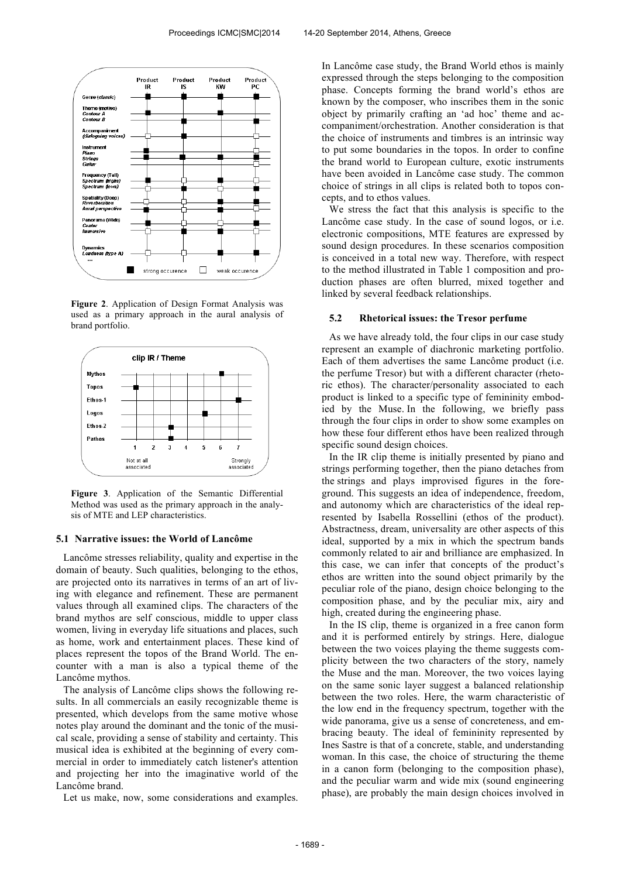

**Figure 2**. Application of Design Format Analysis was used as a primary approach in the aural analysis of brand portfolio.



**Figure 3**. Application of the Semantic Differential Method was used as the primary approach in the analysis of MTE and LEP characteristics.

#### **5.1 Narrative issues: the World of Lancôme**

Lancôme stresses reliability, quality and expertise in the domain of beauty. Such qualities, belonging to the ethos, are projected onto its narratives in terms of an art of living with elegance and refinement. These are permanent values through all examined clips. The characters of the brand mythos are self conscious, middle to upper class women, living in everyday life situations and places, such as home, work and entertainment places. These kind of places represent the topos of the Brand World. The encounter with a man is also a typical theme of the Lancôme mythos.

The analysis of Lancôme clips shows the following results. In all commercials an easily recognizable theme is presented, which develops from the same motive whose notes play around the dominant and the tonic of the musical scale, providing a sense of stability and certainty. This musical idea is exhibited at the beginning of every commercial in order to immediately catch listener's attention and projecting her into the imaginative world of the Lancôme brand.

Let us make, now, some considerations and examples.

In Lancôme case study, the Brand World ethos is mainly expressed through the steps belonging to the composition phase. Concepts forming the brand world's ethos are known by the composer, who inscribes them in the sonic object by primarily crafting an 'ad hoc' theme and accompaniment/orchestration. Another consideration is that the choice of instruments and timbres is an intrinsic way to put some boundaries in the topos. In order to confine the brand world to European culture, exotic instruments have been avoided in Lancôme case study. The common choice of strings in all clips is related both to topos concepts, and to ethos values.

We stress the fact that this analysis is specific to the Lancôme case study. In the case of sound logos, or i.e. electronic compositions, MTE features are expressed by sound design procedures. In these scenarios composition is conceived in a total new way. Therefore, with respect to the method illustrated in Table 1 composition and production phases are often blurred, mixed together and linked by several feedback relationships.

#### **5.2 Rhetorical issues: the Tresor perfume**

As we have already told, the four clips in our case study represent an example of diachronic marketing portfolio. Each of them advertises the same Lancôme product (i.e. the perfume Tresor) but with a different character (rhetoric ethos). The character/personality associated to each product is linked to a specific type of femininity embodied by the Muse. In the following, we briefly pass through the four clips in order to show some examples on how these four different ethos have been realized through specific sound design choices.

In the IR clip theme is initially presented by piano and strings performing together, then the piano detaches from the strings and plays improvised figures in the foreground. This suggests an idea of independence, freedom, and autonomy which are characteristics of the ideal represented by Isabella Rossellini (ethos of the product). Abstractness, dream, universality are other aspects of this ideal, supported by a mix in which the spectrum bands commonly related to air and brilliance are emphasized. In this case, we can infer that concepts of the product's ethos are written into the sound object primarily by the peculiar role of the piano, design choice belonging to the composition phase, and by the peculiar mix, airy and high, created during the engineering phase.

In the IS clip, theme is organized in a free canon form and it is performed entirely by strings. Here, dialogue between the two voices playing the theme suggests complicity between the two characters of the story, namely the Muse and the man. Moreover, the two voices laying on the same sonic layer suggest a balanced relationship between the two roles. Here, the warm characteristic of the low end in the frequency spectrum, together with the wide panorama, give us a sense of concreteness, and embracing beauty. The ideal of femininity represented by Ines Sastre is that of a concrete, stable, and understanding woman. In this case, the choice of structuring the theme in a canon form (belonging to the composition phase), and the peculiar warm and wide mix (sound engineering phase), are probably the main design choices involved in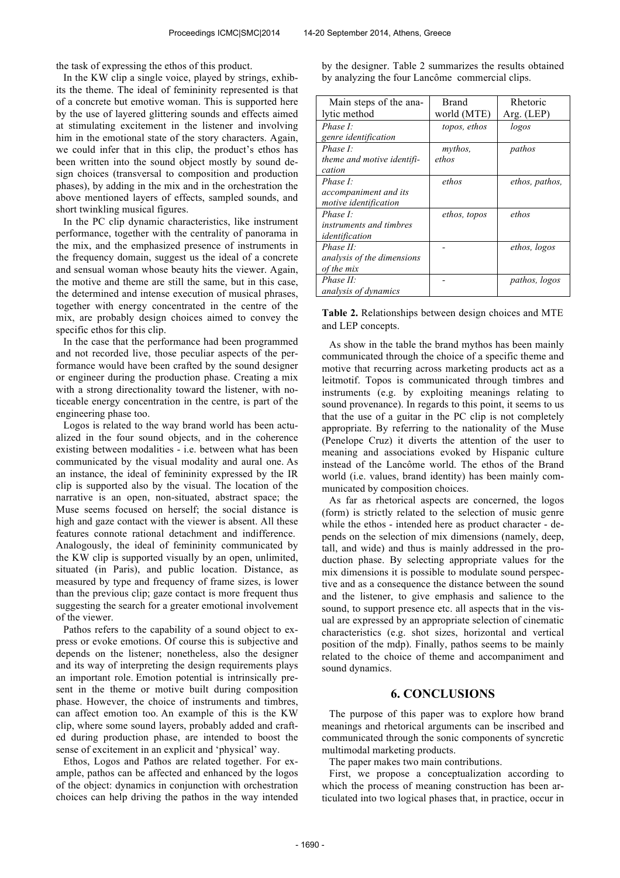the task of expressing the ethos of this product.

In the KW clip a single voice, played by strings, exhibits the theme. The ideal of femininity represented is that of a concrete but emotive woman. This is supported here by the use of layered glittering sounds and effects aimed at stimulating excitement in the listener and involving him in the emotional state of the story characters. Again, we could infer that in this clip, the product's ethos has been written into the sound object mostly by sound design choices (transversal to composition and production phases), by adding in the mix and in the orchestration the above mentioned layers of effects, sampled sounds, and short twinkling musical figures.

In the PC clip dynamic characteristics, like instrument performance, together with the centrality of panorama in the mix, and the emphasized presence of instruments in the frequency domain, suggest us the ideal of a concrete and sensual woman whose beauty hits the viewer. Again, the motive and theme are still the same, but in this case, the determined and intense execution of musical phrases, together with energy concentrated in the centre of the mix, are probably design choices aimed to convey the specific ethos for this clip.

In the case that the performance had been programmed and not recorded live, those peculiar aspects of the performance would have been crafted by the sound designer or engineer during the production phase. Creating a mix with a strong directionality toward the listener, with noticeable energy concentration in the centre, is part of the engineering phase too.

Logos is related to the way brand world has been actualized in the four sound objects, and in the coherence existing between modalities - i.e. between what has been communicated by the visual modality and aural one. As an instance, the ideal of femininity expressed by the IR clip is supported also by the visual. The location of the narrative is an open, non-situated, abstract space; the Muse seems focused on herself; the social distance is high and gaze contact with the viewer is absent. All these features connote rational detachment and indifference. Analogously, the ideal of femininity communicated by the KW clip is supported visually by an open, unlimited, situated (in Paris), and public location. Distance, as measured by type and frequency of frame sizes, is lower than the previous clip; gaze contact is more frequent thus suggesting the search for a greater emotional involvement of the viewer.

Pathos refers to the capability of a sound object to express or evoke emotions. Of course this is subjective and depends on the listener; nonetheless, also the designer and its way of interpreting the design requirements plays an important role. Emotion potential is intrinsically present in the theme or motive built during composition phase. However, the choice of instruments and timbres, can affect emotion too. An example of this is the KW clip, where some sound layers, probably added and crafted during production phase, are intended to boost the sense of excitement in an explicit and 'physical' way.

Ethos, Logos and Pathos are related together. For example, pathos can be affected and enhanced by the logos of the object: dynamics in conjunction with orchestration choices can help driving the pathos in the way intended by the designer. Table 2 summarizes the results obtained by analyzing the four Lancôme commercial clips.

| Main steps of the ana-      | Brand        | Rhetoric       |
|-----------------------------|--------------|----------------|
| lytic method                | world (MTE)  | Arg. (LEP)     |
| Phase $I^{\cdot}$           | topos, ethos | logos          |
| genre identification        |              |                |
| Phase $I$ :                 | mythos,      | pathos         |
| theme and motive identifi-  | ethos        |                |
| cation                      |              |                |
| Phase I:                    | ethos        | ethos, pathos, |
| accompaniment and its       |              |                |
| motive identification       |              |                |
| Phase I:                    | ethos, topos | ethos          |
| instruments and timbres     |              |                |
| identification              |              |                |
| Phase $II$ :                |              | ethos, logos   |
| analysis of the dimensions  |              |                |
| of the mix                  |              |                |
| Phase $II$ :                |              | pathos, logos  |
| <i>analysis of dynamics</i> |              |                |

**Table 2.** Relationships between design choices and MTE and LEP concepts.

As show in the table the brand mythos has been mainly communicated through the choice of a specific theme and motive that recurring across marketing products act as a leitmotif. Topos is communicated through timbres and instruments (e.g. by exploiting meanings relating to sound provenance). In regards to this point, it seems to us that the use of a guitar in the PC clip is not completely appropriate. By referring to the nationality of the Muse (Penelope Cruz) it diverts the attention of the user to meaning and associations evoked by Hispanic culture instead of the Lancôme world. The ethos of the Brand world (i.e. values, brand identity) has been mainly communicated by composition choices.

As far as rhetorical aspects are concerned, the logos (form) is strictly related to the selection of music genre while the ethos - intended here as product character - depends on the selection of mix dimensions (namely, deep, tall, and wide) and thus is mainly addressed in the production phase. By selecting appropriate values for the mix dimensions it is possible to modulate sound perspective and as a consequence the distance between the sound and the listener, to give emphasis and salience to the sound, to support presence etc. all aspects that in the visual are expressed by an appropriate selection of cinematic characteristics (e.g. shot sizes, horizontal and vertical position of the mdp). Finally, pathos seems to be mainly related to the choice of theme and accompaniment and sound dynamics.

## **6. CONCLUSIONS**

The purpose of this paper was to explore how brand meanings and rhetorical arguments can be inscribed and communicated through the sonic components of syncretic multimodal marketing products.

The paper makes two main contributions.

First, we propose a conceptualization according to which the process of meaning construction has been articulated into two logical phases that, in practice, occur in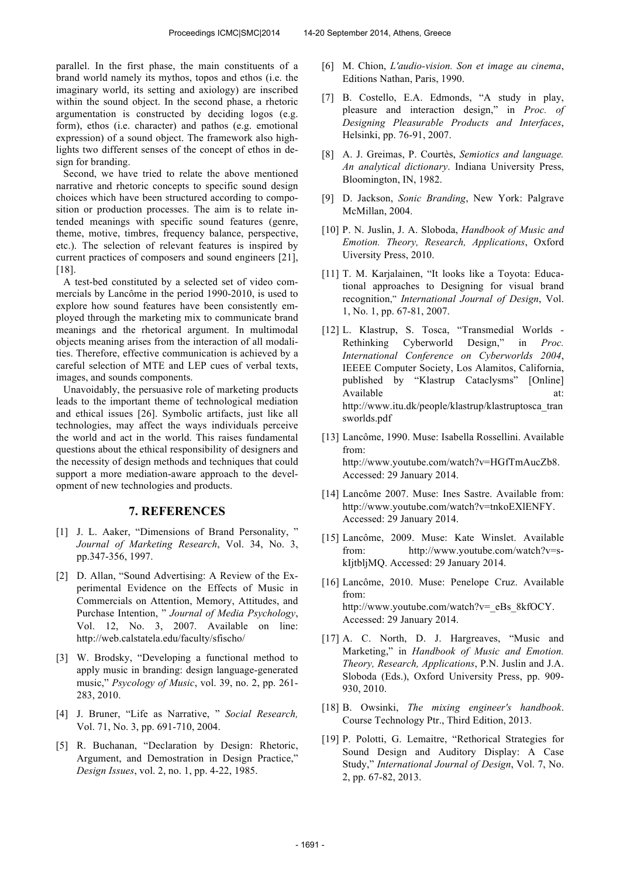parallel. In the first phase, the main constituents of a brand world namely its mythos, topos and ethos (i.e. the imaginary world, its setting and axiology) are inscribed within the sound object. In the second phase, a rhetoric argumentation is constructed by deciding logos (e.g. form), ethos (i.e. character) and pathos (e.g. emotional expression) of a sound object. The framework also highlights two different senses of the concept of ethos in design for branding.

Second, we have tried to relate the above mentioned narrative and rhetoric concepts to specific sound design choices which have been structured according to composition or production processes. The aim is to relate intended meanings with specific sound features (genre, theme, motive, timbres, frequency balance, perspective, etc.). The selection of relevant features is inspired by current practices of composers and sound engineers [21], [18].

A test-bed constituted by a selected set of video commercials by Lancôme in the period 1990-2010, is used to explore how sound features have been consistently employed through the marketing mix to communicate brand meanings and the rhetorical argument. In multimodal objects meaning arises from the interaction of all modalities. Therefore, effective communication is achieved by a careful selection of MTE and LEP cues of verbal texts, images, and sounds components.

Unavoidably, the persuasive role of marketing products leads to the important theme of technological mediation and ethical issues [26]. Symbolic artifacts, just like all technologies, may affect the ways individuals perceive the world and act in the world. This raises fundamental questions about the ethical responsibility of designers and the necessity of design methods and techniques that could support a more mediation-aware approach to the development of new technologies and products.

### **7. REFERENCES**

- [1] J. L. Aaker, "Dimensions of Brand Personality, " *Journal of Marketing Research*, Vol. 34, No. 3, pp.347-356, 1997.
- [2] D. Allan, "Sound Advertising: A Review of the Experimental Evidence on the Effects of Music in Commercials on Attention, Memory, Attitudes, and Purchase Intention, " *Journal of Media Psychology*, Vol. 12, No. 3, 2007. Available on line: http://web.calstatela.edu/faculty/sfischo/
- [3] W. Brodsky, "Developing a functional method to apply music in branding: design language-generated music," *Psycology of Music*, vol. 39, no. 2, pp. 261- 283, 2010.
- [4] J. Bruner, "Life as Narrative, " *Social Research,* Vol. 71, No. 3, pp. 691-710, 2004.
- [5] R. Buchanan, "Declaration by Design: Rhetoric, Argument, and Demostration in Design Practice," *Design Issues*, vol. 2, no. 1, pp. 4-22, 1985.
- [6] M. Chion, *L'audio-vision. Son et image au cinema*, Editions Nathan, Paris, 1990.
- [7] B. Costello, E.A. Edmonds, "A study in play, pleasure and interaction design," in *Proc. of Designing Pleasurable Products and Interfaces*, Helsinki, pp. 76-91, 2007.
- [8] A. J. Greimas, P. Courtès, *Semiotics and language. An analytical dictionary*. Indiana University Press, Bloomington, IN, 1982.
- [9] D. Jackson, *Sonic Branding*, New York: Palgrave McMillan, 2004.
- [10] P. N. Juslin, J. A. Sloboda, *Handbook of Music and Emotion. Theory, Research, Applications*, Oxford Uiversity Press, 2010.
- [11] T. M. Karjalainen, "It looks like a Toyota: Educational approaches to Designing for visual brand recognition," *International Journal of Design*, Vol. 1, No. 1, pp. 67-81, 2007.
- [12] L. Klastrup, S. Tosca, "Transmedial Worlds Rethinking Cyberworld Design," in *Proc. International Conference on Cyberworlds 2004*, IEEEE Computer Society, Los Alamitos, California, published by "Klastrup Cataclysms" [Online] Available at: http://www.itu.dk/people/klastrup/klastruptosca\_tran sworlds.pdf
- [13] Lancôme, 1990. Muse: Isabella Rossellini. Available from: http://www.youtube.com/watch?v=HGfTmAucZb8. Accessed: 29 January 2014.
- [14] Lancôme 2007. Muse: Ines Sastre. Available from: http://www.youtube.com/watch?v=tnkoEXlENFY. Accessed: 29 January 2014.
- [15] Lancôme, 2009. Muse: Kate Winslet. Available from: http://www.youtube.com/watch?v=skIjtbljMQ. Accessed: 29 January 2014.
- [16] Lancôme, 2010. Muse: Penelope Cruz. Available from: http://www.youtube.com/watch?v=\_eBs\_8kfOCY. Accessed: 29 January 2014.
- [17] A. C. North, D. J. Hargreaves, "Music and Marketing," in *Handbook of Music and Emotion. Theory, Research, Applications*, P.N. Juslin and J.A. Sloboda (Eds.), Oxford University Press, pp. 909- 930, 2010.
- [18] B. Owsinki, *The mixing engineer's handbook*. Course Technology Ptr., Third Edition, 2013.
- [19] P. Polotti, G. Lemaitre, "Rethorical Strategies for Sound Design and Auditory Display: A Case Study," *International Journal of Design*, Vol. 7, No. 2, pp. 67-82, 2013.